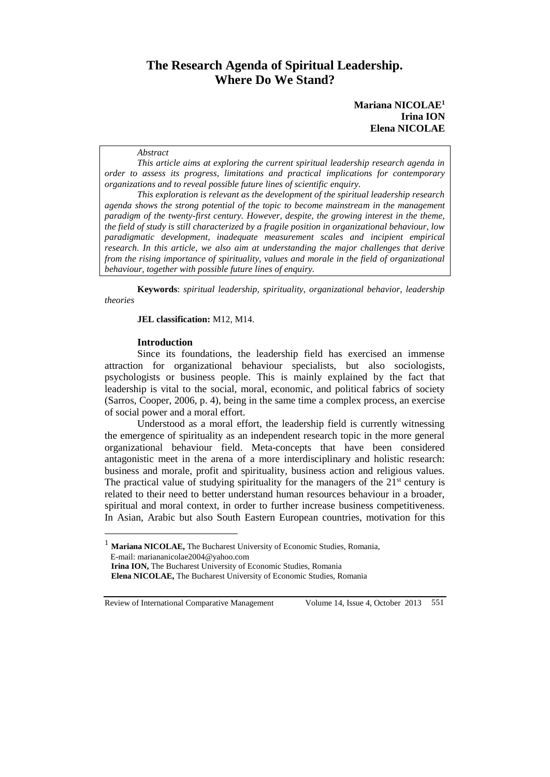# **The Research Agenda of Spiritual Leadership. Where Do We Stand?**

#### *Abstract*

*This article aims at exploring the current spiritual leadership research agenda in order to assess its progress, limitations and practical implications for contemporary organizations and to reveal possible future lines of scientific enquiry.* 

*This exploration is relevant as the development of the spiritual leadership research agenda shows the strong potential of the topic to become mainstream in the management paradigm of the twenty-first century. However, despite, the growing interest in the theme, the field of study is still characterized by a fragile position in organizational behaviour, low paradigmatic development, inadequate measurement scales and incipient empirical research. In this article, we also aim at understanding the major challenges that derive from the rising importance of spirituality, values and morale in the field of organizational behaviour, together with possible future lines of enquiry.* 

**Keywords**: *spiritual leadership, spirituality, organizational behavior, leadership theories*

**JEL classification:** M12, M14.

### **Introduction**

Since its foundations, the leadership field has exercised an immense attraction for organizational behaviour specialists, but also sociologists, psychologists or business people. This is mainly explained by the fact that leadership is vital to the social, moral, economic, and political fabrics of society (Sarros, Cooper, 2006, p. 4), being in the same time a complex process, an exercise of social power and a moral effort.

Understood as a moral effort, the leadership field is currently witnessing the emergence of spirituality as an independent research topic in the more general organizational behaviour field. Meta-concepts that have been considered antagonistic meet in the arena of a more interdisciplinary and holistic research: business and morale, profit and spirituality, business action and religious values. The practical value of studying spirituality for the managers of the  $21<sup>st</sup>$  century is related to their need to better understand human resources behaviour in a broader, spiritual and moral context, in order to further increase business competitiveness. In Asian, Arabic but also South Eastern European countries, motivation for this

Review of International Comparative Management Volume 14, Issue 4, October 2013 551

 $\overline{a}$ 

<sup>1</sup> **Mariana NICOLAE,** The Bucharest University of Economic Studies, Romania, E-mail: mariananicolae2004@yahoo.com

**Irina ION,** The Bucharest University of Economic Studies, Romania

**Elena NICOLAE,** The Bucharest University of Economic Studies, Romania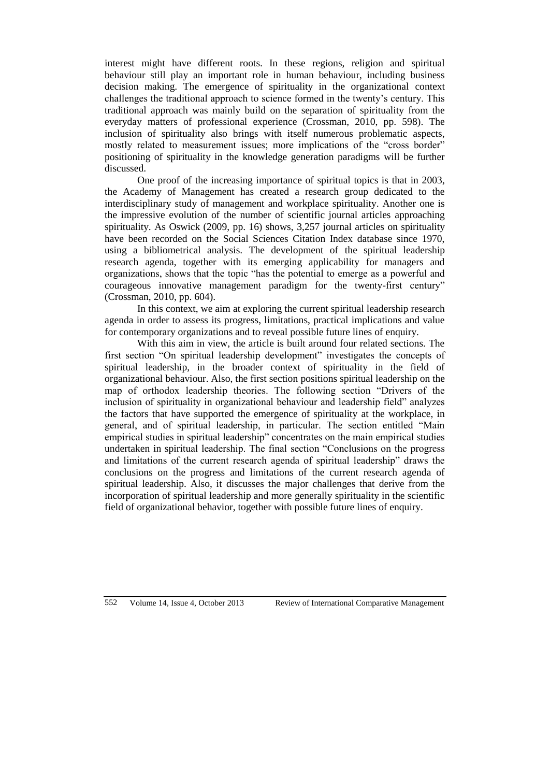interest might have different roots. In these regions, religion and spiritual behaviour still play an important role in human behaviour, including business decision making. The emergence of spirituality in the organizational context challenges the traditional approach to science formed in the twenty's century. This traditional approach was mainly build on the separation of spirituality from the everyday matters of professional experience (Crossman, 2010, pp. 598). The inclusion of spirituality also brings with itself numerous problematic aspects, mostly related to measurement issues; more implications of the "cross border" positioning of spirituality in the knowledge generation paradigms will be further discussed.

One proof of the increasing importance of spiritual topics is that in 2003, the Academy of Management has created a research group dedicated to the interdisciplinary study of management and workplace spirituality. Another one is the impressive evolution of the number of scientific journal articles approaching spirituality. As Oswick (2009, pp. 16) shows, 3,257 journal articles on spirituality have been recorded on the Social Sciences Citation Index database since 1970, using a bibliometrical analysis. The development of the spiritual leadership research agenda, together with its emerging applicability for managers and organizations, shows that the topic "has the potential to emerge as a powerful and courageous innovative management paradigm for the twenty-first century" (Crossman, 2010, pp. 604).

In this context, we aim at exploring the current spiritual leadership research agenda in order to assess its progress, limitations, practical implications and value for contemporary organizations and to reveal possible future lines of enquiry.

With this aim in view, the article is built around four related sections. The first section "On spiritual leadership development" investigates the concepts of spiritual leadership, in the broader context of spirituality in the field of organizational behaviour. Also, the first section positions spiritual leadership on the map of orthodox leadership theories. The following section "Drivers of the inclusion of spirituality in organizational behaviour and leadership field" analyzes the factors that have supported the emergence of spirituality at the workplace, in general, and of spiritual leadership, in particular. The section entitled "Main empirical studies in spiritual leadership" concentrates on the main empirical studies undertaken in spiritual leadership. The final section "Conclusions on the progress and limitations of the current research agenda of spiritual leadership" draws the conclusions on the progress and limitations of the current research agenda of spiritual leadership. Also, it discusses the major challenges that derive from the incorporation of spiritual leadership and more generally spirituality in the scientific field of organizational behavior, together with possible future lines of enquiry.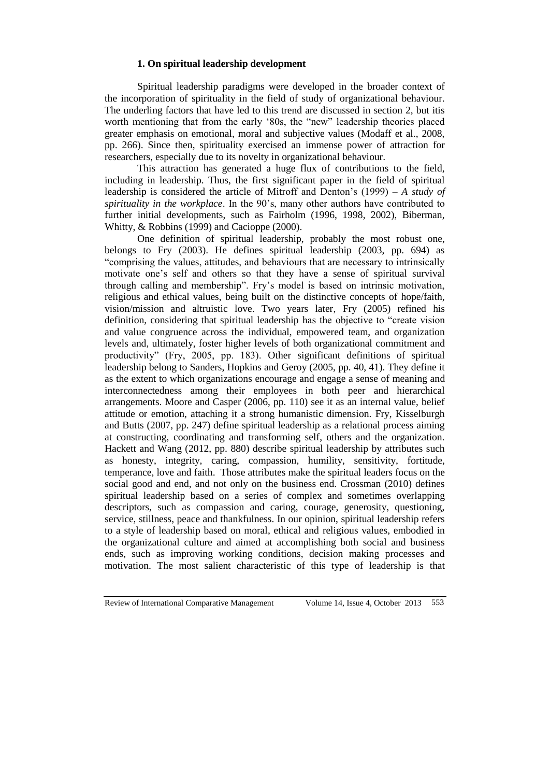## **1. On spiritual leadership development**

Spiritual leadership paradigms were developed in the broader context of the incorporation of spirituality in the field of study of organizational behaviour. The underling factors that have led to this trend are discussed in section 2, but itis worth mentioning that from the early '80s, the "new" leadership theories placed greater emphasis on emotional, moral and subjective values (Modaff et al., 2008, pp. 266). Since then, spirituality exercised an immense power of attraction for researchers, especially due to its novelty in organizational behaviour.

This attraction has generated a huge flux of contributions to the field, including in leadership. Thus, the first significant paper in the field of spiritual leadership is considered the article of Mitroff and Denton's (1999) – *A study of spirituality in the workplace*. In the 90's, many other authors have contributed to further initial developments, such as Fairholm (1996, 1998, 2002), Biberman, Whitty, & Robbins (1999) and Cacioppe (2000).

One definition of spiritual leadership, probably the most robust one, belongs to Fry (2003). He defines spiritual leadership (2003, pp. 694) as "comprising the values, attitudes, and behaviours that are necessary to intrinsically motivate one's self and others so that they have a sense of spiritual survival through calling and membership". Fry's model is based on intrinsic motivation, religious and ethical values, being built on the distinctive concepts of hope/faith, vision/mission and altruistic love. Two years later, Fry (2005) refined his definition, considering that spiritual leadership has the objective to "create vision and value congruence across the individual, empowered team, and organization levels and, ultimately, foster higher levels of both organizational commitment and productivity" (Fry, 2005, pp. 183). Other significant definitions of spiritual leadership belong to Sanders, Hopkins and Geroy (2005, pp. 40, 41). They define it as the extent to which organizations encourage and engage a sense of meaning and interconnectedness among their employees in both peer and hierarchical arrangements. Moore and Casper (2006, pp. 110) see it as an internal value, belief attitude or emotion, attaching it a strong humanistic dimension. Fry, Kisselburgh and Butts (2007, pp. 247) define spiritual leadership as a relational process aiming at constructing, coordinating and transforming self, others and the organization. Hackett and Wang (2012, pp. 880) describe spiritual leadership by attributes such as honesty, integrity, caring, compassion, humility, sensitivity, fortitude, temperance, love and faith. Those attributes make the spiritual leaders focus on the social good and end, and not only on the business end. Crossman (2010) defines spiritual leadership based on a series of complex and sometimes overlapping descriptors, such as compassion and caring, courage, generosity, questioning, service, stillness, peace and thankfulness. In our opinion, spiritual leadership refers to a style of leadership based on moral, ethical and religious values, embodied in the organizational culture and aimed at accomplishing both social and business ends, such as improving working conditions, decision making processes and motivation. The most salient characteristic of this type of leadership is that

Review of International Comparative Management Volume 14, Issue 4, October 2013 553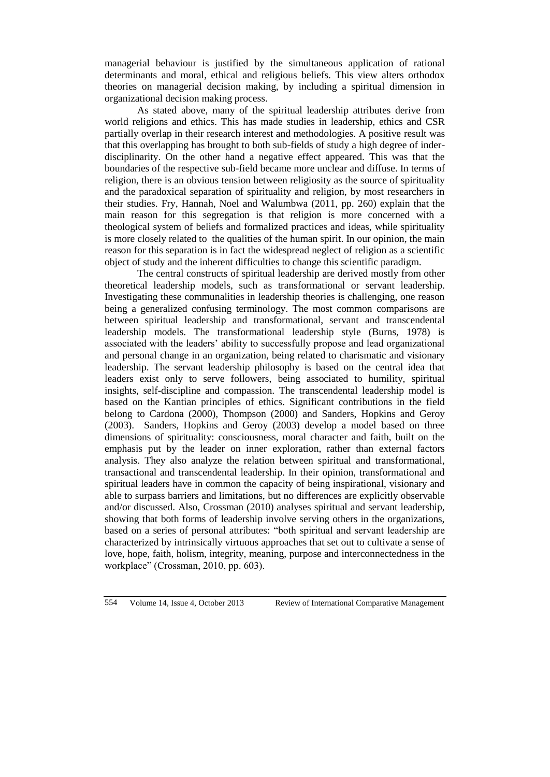managerial behaviour is justified by the simultaneous application of rational determinants and moral, ethical and religious beliefs. This view alters orthodox theories on managerial decision making, by including a spiritual dimension in organizational decision making process.

As stated above, many of the spiritual leadership attributes derive from world religions and ethics. This has made studies in leadership, ethics and CSR partially overlap in their research interest and methodologies. A positive result was that this overlapping has brought to both sub-fields of study a high degree of inderdisciplinarity. On the other hand a negative effect appeared. This was that the boundaries of the respective sub-field became more unclear and diffuse. In terms of religion, there is an obvious tension between religiosity as the source of spirituality and the paradoxical separation of spirituality and religion, by most researchers in their studies. Fry, Hannah, Noel and Walumbwa (2011, pp. 260) explain that the main reason for this segregation is that religion is more concerned with a theological system of beliefs and formalized practices and ideas, while spirituality is more closely related to the qualities of the human spirit. In our opinion, the main reason for this separation is in fact the widespread neglect of religion as a scientific object of study and the inherent difficulties to change this scientific paradigm.

The central constructs of spiritual leadership are derived mostly from other theoretical leadership models, such as transformational or servant leadership. Investigating these communalities in leadership theories is challenging, one reason being a generalized confusing terminology. The most common comparisons are between spiritual leadership and transformational, servant and transcendental leadership models. The transformational leadership style (Burns, 1978) is associated with the leaders' ability to successfully propose and lead organizational and personal change in an organization, being related to charismatic and visionary leadership. The servant leadership philosophy is based on the central idea that leaders exist only to serve followers, being associated to humility, spiritual insights, self-discipline and compassion. The transcendental leadership model is based on the Kantian principles of ethics. Significant contributions in the field belong to Cardona (2000), Thompson (2000) and Sanders, Hopkins and Geroy (2003). Sanders, Hopkins and Geroy (2003) develop a model based on three dimensions of spirituality: consciousness, moral character and faith, built on the emphasis put by the leader on inner exploration, rather than external factors analysis. They also analyze the relation between spiritual and transformational, transactional and transcendental leadership. In their opinion, transformational and spiritual leaders have in common the capacity of being inspirational, visionary and able to surpass barriers and limitations, but no differences are explicitly observable and/or discussed. Also, Crossman (2010) analyses spiritual and servant leadership, showing that both forms of leadership involve serving others in the organizations, based on a series of personal attributes: "both spiritual and servant leadership are characterized by intrinsically virtuous approaches that set out to cultivate a sense of love, hope, faith, holism, integrity, meaning, purpose and interconnectedness in the workplace" (Crossman, 2010, pp. 603).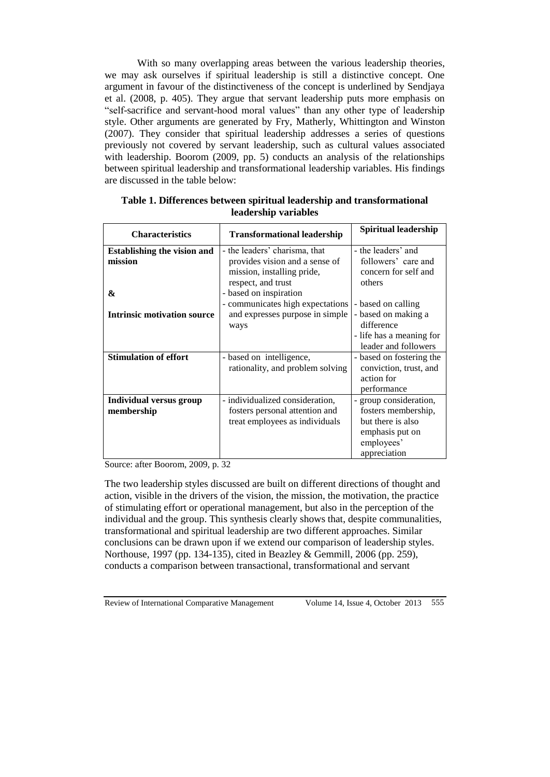With so many overlapping areas between the various leadership theories, we may ask ourselves if spiritual leadership is still a distinctive concept. One argument in favour of the distinctiveness of the concept is underlined by Sendjaya et al. (2008, p. 405). They argue that servant leadership puts more emphasis on "self-sacrifice and servant-hood moral values" than any other type of leadership style. Other arguments are generated by Fry, Matherly, Whittington and Winston (2007). They consider that spiritual leadership addresses a series of questions previously not covered by servant leadership, such as cultural values associated with leadership. Boorom (2009, pp. 5) conducts an analysis of the relationships between spiritual leadership and transformational leadership variables. His findings are discussed in the table below:

| <b>Characteristics</b>             | <b>Transformational leadership</b> | <b>Spiritual leadership</b> |
|------------------------------------|------------------------------------|-----------------------------|
| <b>Establishing the vision and</b> | - the leaders' charisma, that      | - the leaders' and          |
| mission                            | provides vision and a sense of     | followers' care and         |
|                                    | mission, installing pride,         | concern for self and        |
|                                    | respect, and trust                 | others                      |
| &                                  | - based on inspiration             |                             |
|                                    | - communicates high expectations   | - based on calling          |
| <b>Intrinsic motivation source</b> | and expresses purpose in simple    | - based on making a         |
|                                    | ways                               | difference                  |
|                                    |                                    | - life has a meaning for    |
|                                    |                                    | leader and followers        |
| <b>Stimulation of effort</b>       | - based on intelligence,           | - based on fostering the    |
|                                    | rationality, and problem solving   | conviction, trust, and      |
|                                    |                                    | action for                  |
|                                    |                                    | performance                 |
| Individual versus group            | - individualized consideration,    | - group consideration,      |
| membership                         | fosters personal attention and     | fosters membership,         |
|                                    | treat employees as individuals     | but there is also           |
|                                    |                                    | emphasis put on             |
|                                    |                                    | employees'                  |
|                                    |                                    | appreciation                |

**Table 1. Differences between spiritual leadership and transformational leadership variables**

Source: after Boorom, 2009, p. 32

The two leadership styles discussed are built on different directions of thought and action, visible in the drivers of the vision, the mission, the motivation, the practice of stimulating effort or operational management, but also in the perception of the individual and the group. This synthesis clearly shows that, despite communalities, transformational and spiritual leadership are two different approaches. Similar conclusions can be drawn upon if we extend our comparison of leadership styles. Northouse, 1997 (pp. 134-135), cited in Beazley & Gemmill, 2006 (pp. 259), conducts a comparison between transactional, transformational and servant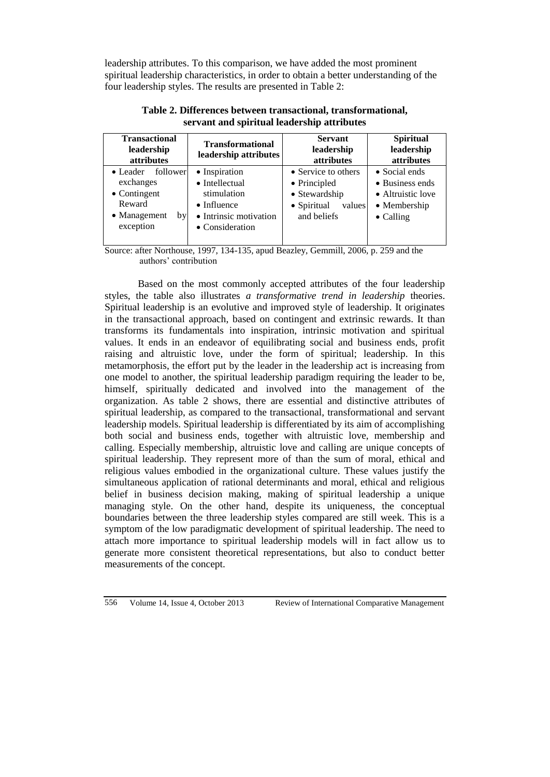leadership attributes. To this comparison, we have added the most prominent spiritual leadership characteristics, in order to obtain a better understanding of the four leadership styles. The results are presented in Table 2:

| <b>Transactional</b><br>leadership<br>attributes                                                               | <b>Transformational</b><br>leadership attributes                                                                           | <b>Servant</b><br>leadership<br>attributes                                                   | <b>Spiritual</b><br>leadership<br>attributes                                                       |
|----------------------------------------------------------------------------------------------------------------|----------------------------------------------------------------------------------------------------------------------------|----------------------------------------------------------------------------------------------|----------------------------------------------------------------------------------------------------|
| $\bullet$ Leader<br>follower<br>exchanges<br>$\bullet$ Contingent<br>Reward<br>• Management<br>bv<br>exception | • Inspiration<br>$\bullet$ Intellectual<br>stimulation<br>$\bullet$ Influence<br>• Intrinsic motivation<br>• Consideration | • Service to others<br>• Principled<br>• Stewardship<br>• Spiritual<br>values<br>and beliefs | $\bullet$ Social ends<br>• Business ends<br>• Altruistic love<br>• Membership<br>$\bullet$ Calling |

**Table 2. Differences between transactional, transformational, servant and spiritual leadership attributes**

Source: after Northouse, 1997, 134-135, apud Beazley, Gemmill, 2006, p. 259 and the authors' contribution

Based on the most commonly accepted attributes of the four leadership styles, the table also illustrates *a transformative trend in leadership* theories. Spiritual leadership is an evolutive and improved style of leadership. It originates in the transactional approach, based on contingent and extrinsic rewards. It than transforms its fundamentals into inspiration, intrinsic motivation and spiritual values. It ends in an endeavor of equilibrating social and business ends, profit raising and altruistic love, under the form of spiritual; leadership. In this metamorphosis, the effort put by the leader in the leadership act is increasing from one model to another, the spiritual leadership paradigm requiring the leader to be, himself, spiritually dedicated and involved into the management of the organization. As table 2 shows, there are essential and distinctive attributes of spiritual leadership, as compared to the transactional, transformational and servant leadership models. Spiritual leadership is differentiated by its aim of accomplishing both social and business ends, together with altruistic love, membership and calling. Especially membership, altruistic love and calling are unique concepts of spiritual leadership. They represent more of than the sum of moral, ethical and religious values embodied in the organizational culture. These values justify the simultaneous application of rational determinants and moral, ethical and religious belief in business decision making, making of spiritual leadership a unique managing style. On the other hand, despite its uniqueness, the conceptual boundaries between the three leadership styles compared are still week. This is a symptom of the low paradigmatic development of spiritual leadership. The need to attach more importance to spiritual leadership models will in fact allow us to generate more consistent theoretical representations, but also to conduct better measurements of the concept.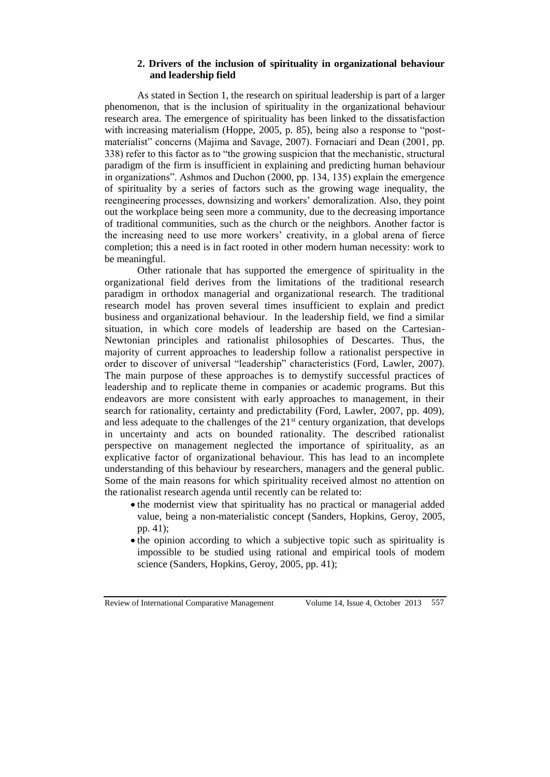## **2. Drivers of the inclusion of spirituality in organizational behaviour and leadership field**

As stated in Section 1, the research on spiritual leadership is part of a larger phenomenon, that is the inclusion of spirituality in the organizational behaviour research area. The emergence of spirituality has been linked to the dissatisfaction with increasing materialism (Hoppe, 2005, p. 85), being also a response to "postmaterialist" concerns (Majima and Savage, 2007). Fornaciari and Dean (2001, pp. 338) refer to this factor as to "the growing suspicion that the mechanistic, structural paradigm of the firm is insufficient in explaining and predicting human behaviour in organizations". Ashmos and Duchon (2000, pp. 134, 135) explain the emergence of spirituality by a series of factors such as the growing wage inequality, the reengineering processes, downsizing and workers' demoralization. Also, they point out the workplace being seen more a community, due to the decreasing importance of traditional communities, such as the church or the neighbors. Another factor is the increasing need to use more workers' creativity, in a global arena of fierce completion; this a need is in fact rooted in other modern human necessity: work to be meaningful.

Other rationale that has supported the emergence of spirituality in the organizational field derives from the limitations of the traditional research paradigm in orthodox managerial and organizational research. The traditional research model has proven several times insufficient to explain and predict business and organizational behaviour. In the leadership field, we find a similar situation, in which core models of leadership are based on the Cartesian-Newtonian principles and rationalist philosophies of Descartes. Thus, the majority of current approaches to leadership follow a rationalist perspective in order to discover of universal "leadership" characteristics (Ford, Lawler, 2007). The main purpose of these approaches is to demystify successful practices of leadership and to replicate theme in companies or academic programs. But this endeavors are more consistent with early approaches to management, in their search for rationality, certainty and predictability (Ford, Lawler, 2007, pp. 409), and less adequate to the challenges of the  $21<sup>st</sup>$  century organization, that develops in uncertainty and acts on bounded rationality. The described rationalist perspective on management neglected the importance of spirituality, as an explicative factor of organizational behaviour. This has lead to an incomplete understanding of this behaviour by researchers, managers and the general public. Some of the main reasons for which spirituality received almost no attention on the rationalist research agenda until recently can be related to:

- the modernist view that spirituality has no practical or managerial added value, being a non-materialistic concept (Sanders, Hopkins, Geroy, 2005, pp. 41);
- the opinion according to which a subjective topic such as spirituality is impossible to be studied using rational and empirical tools of modem science (Sanders, Hopkins, Geroy, 2005, pp. 41);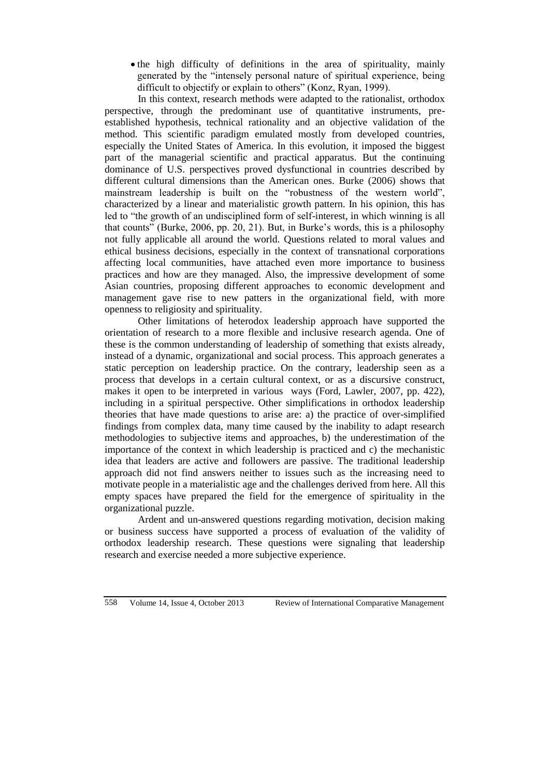the high difficulty of definitions in the area of spirituality, mainly generated by the "intensely personal nature of spiritual experience, being difficult to objectify or explain to others" (Konz, Ryan, 1999).

In this context, research methods were adapted to the rationalist, orthodox perspective, through the predominant use of quantitative instruments, preestablished hypothesis, technical rationality and an objective validation of the method. This scientific paradigm emulated mostly from developed countries, especially the United States of America. In this evolution, it imposed the biggest part of the managerial scientific and practical apparatus. But the continuing dominance of U.S. perspectives proved dysfunctional in countries described by different cultural dimensions than the American ones. Burke (2006) shows that mainstream leadership is built on the "robustness of the western world", characterized by a linear and materialistic growth pattern. In his opinion, this has led to "the growth of an undisciplined form of self-interest, in which winning is all that counts" (Burke, 2006, pp. 20, 21). But, in Burke's words, this is a philosophy not fully applicable all around the world. Questions related to moral values and ethical business decisions, especially in the context of transnational corporations affecting local communities, have attached even more importance to business practices and how are they managed. Also, the impressive development of some Asian countries, proposing different approaches to economic development and management gave rise to new patters in the organizational field, with more openness to religiosity and spirituality.

Other limitations of heterodox leadership approach have supported the orientation of research to a more flexible and inclusive research agenda. One of these is the common understanding of leadership of something that exists already, instead of a dynamic, organizational and social process. This approach generates a static perception on leadership practice. On the contrary, leadership seen as a process that develops in a certain cultural context, or as a discursive construct, makes it open to be interpreted in various ways (Ford, Lawler, 2007, pp. 422), including in a spiritual perspective. Other simplifications in orthodox leadership theories that have made questions to arise are: a) the practice of over-simplified findings from complex data, many time caused by the inability to adapt research methodologies to subjective items and approaches, b) the underestimation of the importance of the context in which leadership is practiced and c) the mechanistic idea that leaders are active and followers are passive. The traditional leadership approach did not find answers neither to issues such as the increasing need to motivate people in a materialistic age and the challenges derived from here. All this empty spaces have prepared the field for the emergence of spirituality in the organizational puzzle.

Ardent and un-answered questions regarding motivation, decision making or business success have supported a process of evaluation of the validity of orthodox leadership research. These questions were signaling that leadership research and exercise needed a more subjective experience.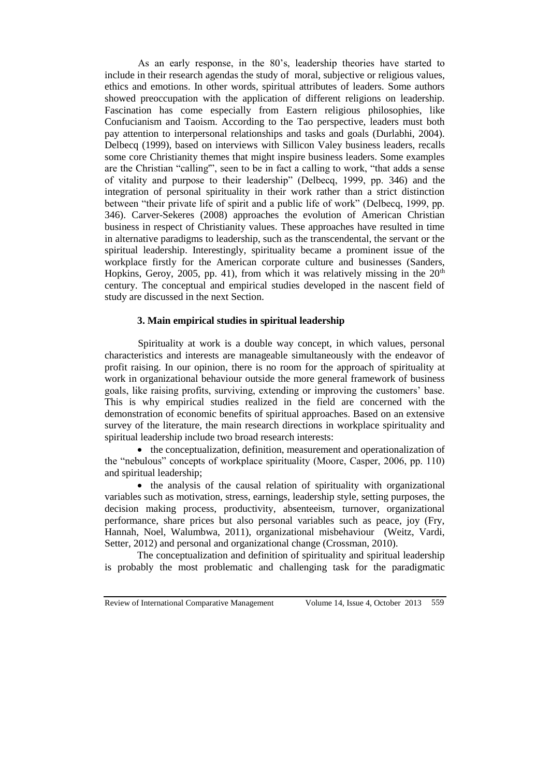As an early response, in the 80's, leadership theories have started to include in their research agendas the study of moral, subjective or religious values, ethics and emotions. In other words, spiritual attributes of leaders. Some authors showed preoccupation with the application of different religions on leadership. Fascination has come especially from Eastern religious philosophies, like Confucianism and Taoism. According to the Tao perspective, leaders must both pay attention to interpersonal relationships and tasks and goals (Durlabhi, 2004). Delbecq (1999), based on interviews with Sillicon Valey business leaders, recalls some core Christianity themes that might inspire business leaders. Some examples are the Christian "calling'", seen to be in fact a calling to work, "that adds a sense of vitality and purpose to their leadership" (Delbecq, 1999, pp. 346) and the integration of personal spirituality in their work rather than a strict distinction between "their private life of spirit and a public life of work" (Delbecq, 1999, pp. 346). Carver-Sekeres (2008) approaches the evolution of American Christian business in respect of Christianity values. These approaches have resulted in time in alternative paradigms to leadership, such as the transcendental, the servant or the spiritual leadership. Interestingly, spirituality became a prominent issue of the workplace firstly for the American corporate culture and businesses (Sanders, Hopkins, Geroy, 2005, pp. 41), from which it was relatively missing in the  $20<sup>th</sup>$ century. The conceptual and empirical studies developed in the nascent field of study are discussed in the next Section.

### **3. Main empirical studies in spiritual leadership**

Spirituality at work is a double way concept, in which values, personal characteristics and interests are manageable simultaneously with the endeavor of profit raising. In our opinion, there is no room for the approach of spirituality at work in organizational behaviour outside the more general framework of business goals, like raising profits, surviving, extending or improving the customers' base. This is why empirical studies realized in the field are concerned with the demonstration of economic benefits of spiritual approaches. Based on an extensive survey of the literature, the main research directions in workplace spirituality and spiritual leadership include two broad research interests:

• the conceptualization, definition, measurement and operationalization of the "nebulous" concepts of workplace spirituality (Moore, Casper, 2006, pp. 110) and spiritual leadership;

• the analysis of the causal relation of spirituality with organizational variables such as motivation, stress, earnings, leadership style, setting purposes, the decision making process, productivity, absenteeism, turnover, organizational performance, share prices but also personal variables such as peace, joy (Fry, Hannah, Noel, Walumbwa, 2011), organizational misbehaviour (Weitz, Vardi, Setter, 2012) and personal and organizational change (Crossman, 2010).

The conceptualization and definition of spirituality and spiritual leadership is probably the most problematic and challenging task for the paradigmatic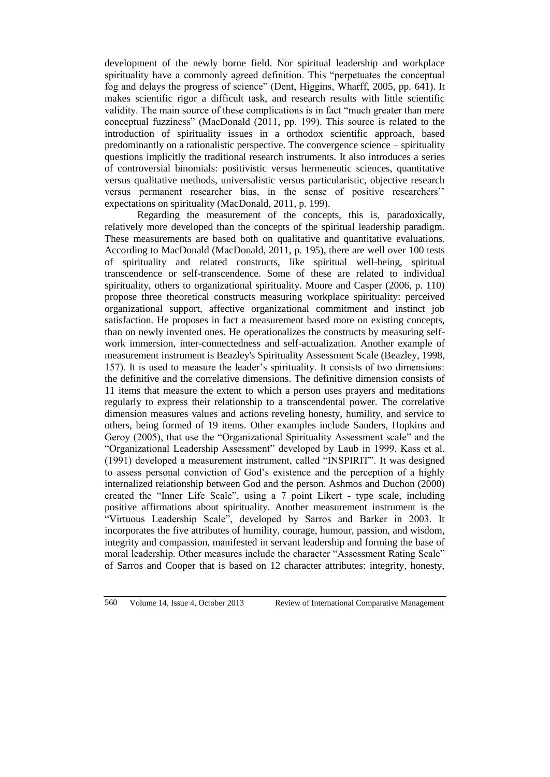development of the newly borne field. Nor spiritual leadership and workplace spirituality have a commonly agreed definition. This "perpetuates the conceptual fog and delays the progress of science" (Dent, Higgins, Wharff, 2005, pp. 641). It makes scientific rigor a difficult task, and research results with little scientific validity. The main source of these complications is in fact "much greater than mere conceptual fuzziness" (MacDonald (2011, pp. 199). This source is related to the introduction of spirituality issues in a orthodox scientific approach, based predominantly on a rationalistic perspective. The convergence science – spirituality questions implicitly the traditional research instruments. It also introduces a series of controversial binomials: positivistic versus hermeneutic sciences, quantitative versus qualitative methods, universalistic versus particularistic, objective research versus permanent researcher bias, in the sense of positive researchers'' expectations on spirituality (MacDonald, 2011, p. 199).

Regarding the measurement of the concepts, this is, paradoxically, relatively more developed than the concepts of the spiritual leadership paradigm. These measurements are based both on qualitative and quantitative evaluations. According to MacDonald (MacDonald, 2011, p. 195), there are well over 100 tests of spirituality and related constructs, like spiritual well-being, spiritual transcendence or self-transcendence. Some of these are related to individual spirituality, others to organizational spirituality. Moore and Casper (2006, p. 110) propose three theoretical constructs measuring workplace spirituality: perceived organizational support, affective organizational commitment and instinct job satisfaction. He proposes in fact a measurement based more on existing concepts, than on newly invented ones. He operationalizes the constructs by measuring selfwork immersion, inter-connectedness and self-actualization. Another example of measurement instrument is Beazley's Spirituality Assessment Scale (Beazley, 1998, 157). It is used to measure the leader's spirituality. It consists of two dimensions: the definitive and the correlative dimensions. The definitive dimension consists of 11 items that measure the extent to which a person uses prayers and meditations regularly to express their relationship to a transcendental power. The correlative dimension measures values and actions reveling honesty, humility, and service to others, being formed of 19 items. Other examples include Sanders, Hopkins and Geroy (2005), that use the "Organizational Spirituality Assessment scale" and the "Organizational Leadership Assessment" developed by Laub in 1999. Kass et al. (1991) developed a measurement instrument, called "INSPIRIT". It was designed to assess personal conviction of God's existence and the perception of a highly internalized relationship between God and the person. Ashmos and Duchon (2000) created the "Inner Life Scale", using a 7 point Likert - type scale, including positive affirmations about spirituality. Another measurement instrument is the "Virtuous Leadership Scale", developed by Sarros and Barker in 2003. It incorporates the five attributes of humility, courage, humour, passion, and wisdom, integrity and compassion, manifested in servant leadership and forming the base of moral leadership. Other measures include the character "Assessment Rating Scale" of Sarros and Cooper that is based on 12 character attributes: integrity, honesty,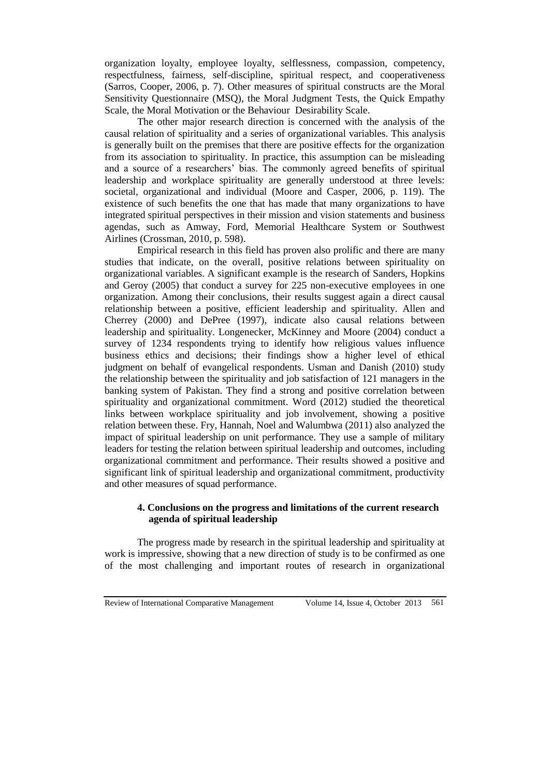organization loyalty, employee loyalty, selflessness, compassion, competency, respectfulness, fairness, self-discipline, spiritual respect, and cooperativeness (Sarros, Cooper, 2006, p. 7). Other measures of spiritual constructs are the Moral Sensitivity Questionnaire (MSQ), the Moral Judgment Tests, the Quick Empathy Scale, the Moral Motivation or the Behaviour Desirability Scale.

The other major research direction is concerned with the analysis of the causal relation of spirituality and a series of organizational variables. This analysis is generally built on the premises that there are positive effects for the organization from its association to spirituality. In practice, this assumption can be misleading and a source of a researchers' bias. The commonly agreed benefits of spiritual leadership and workplace spirituality are generally understood at three levels: societal, organizational and individual (Moore and Casper, 2006, p. 119). The existence of such benefits the one that has made that many organizations to have integrated spiritual perspectives in their mission and vision statements and business agendas, such as Amway, Ford, Memorial Healthcare System or Southwest Airlines (Crossman, 2010, p. 598).

Empirical research in this field has proven also prolific and there are many studies that indicate, on the overall, positive relations between spirituality on organizational variables. A significant example is the research of Sanders, Hopkins and Geroy (2005) that conduct a survey for 225 non-executive employees in one organization. Among their conclusions, their results suggest again a direct causal relationship between a positive, efficient leadership and spirituality. Allen and Cherrey (2000) and DePree (1997), indicate also causal relations between leadership and spirituality. Longenecker, McKinney and Moore (2004) conduct a survey of 1234 respondents trying to identify how religious values influence business ethics and decisions; their findings show a higher level of ethical judgment on behalf of evangelical respondents. Usman and Danish (2010) study the relationship between the spirituality and job satisfaction of 121 managers in the banking system of Pakistan. They find a strong and positive correlation between spirituality and organizational commitment. Word (2012) studied the theoretical links between workplace spirituality and job involvement, showing a positive relation between these. Fry, Hannah, Noel and Walumbwa (2011) also analyzed the impact of spiritual leadership on unit performance. They use a sample of military leaders for testing the relation between spiritual leadership and outcomes, including organizational commitment and performance. Their results showed a positive and significant link of spiritual leadership and organizational commitment, productivity and other measures of squad performance.

# **4. Conclusions on the progress and limitations of the current research agenda of spiritual leadership**

The progress made by research in the spiritual leadership and spirituality at work is impressive, showing that a new direction of study is to be confirmed as one of the most challenging and important routes of research in organizational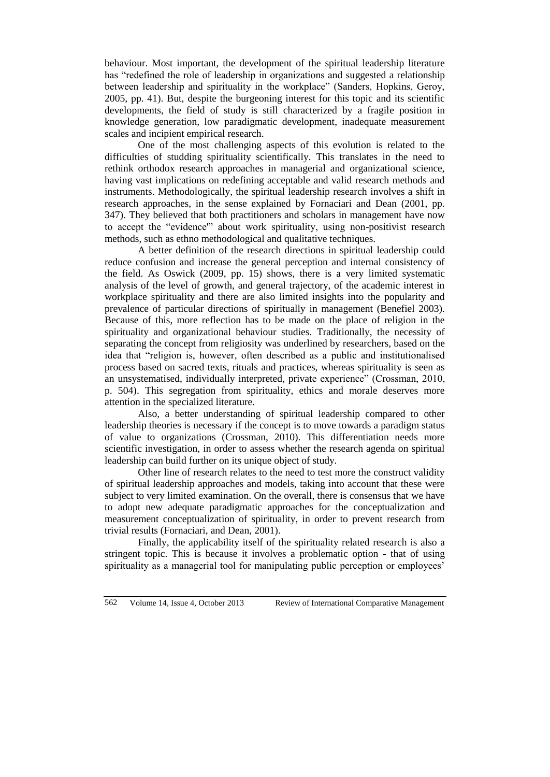behaviour. Most important, the development of the spiritual leadership literature has "redefined the role of leadership in organizations and suggested a relationship between leadership and spirituality in the workplace" (Sanders, Hopkins, Geroy, 2005, pp. 41). But, despite the burgeoning interest for this topic and its scientific developments, the field of study is still characterized by a fragile position in knowledge generation, low paradigmatic development, inadequate measurement scales and incipient empirical research.

One of the most challenging aspects of this evolution is related to the difficulties of studding spirituality scientifically. This translates in the need to rethink orthodox research approaches in managerial and organizational science, having vast implications on redefining acceptable and valid research methods and instruments. Methodologically, the spiritual leadership research involves a shift in research approaches, in the sense explained by Fornaciari and Dean (2001, pp. 347). They believed that both practitioners and scholars in management have now to accept the "evidence'" about work spirituality, using non-positivist research methods, such as ethno methodological and qualitative techniques.

A better definition of the research directions in spiritual leadership could reduce confusion and increase the general perception and internal consistency of the field. As Oswick (2009, pp. 15) shows, there is a very limited systematic analysis of the level of growth, and general trajectory, of the academic interest in workplace spirituality and there are also limited insights into the popularity and prevalence of particular directions of spiritually in management (Benefiel 2003). Because of this, more reflection has to be made on the place of religion in the spirituality and organizational behaviour studies. Traditionally, the necessity of separating the concept from religiosity was underlined by researchers, based on the idea that "religion is, however, often described as a public and institutionalised process based on sacred texts, rituals and practices, whereas spirituality is seen as an unsystematised, individually interpreted, private experience" (Crossman, 2010, p. 504). This segregation from spirituality, ethics and morale deserves more attention in the specialized literature.

Also, a better understanding of spiritual leadership compared to other leadership theories is necessary if the concept is to move towards a paradigm status of value to organizations (Crossman, 2010). This differentiation needs more scientific investigation, in order to assess whether the research agenda on spiritual leadership can build further on its unique object of study.

Other line of research relates to the need to test more the construct validity of spiritual leadership approaches and models, taking into account that these were subject to very limited examination. On the overall, there is consensus that we have to adopt new adequate paradigmatic approaches for the conceptualization and measurement conceptualization of spirituality, in order to prevent research from trivial results (Fornaciari, and Dean, 2001).

Finally, the applicability itself of the spirituality related research is also a stringent topic. This is because it involves a problematic option - that of using spirituality as a managerial tool for manipulating public perception or employees'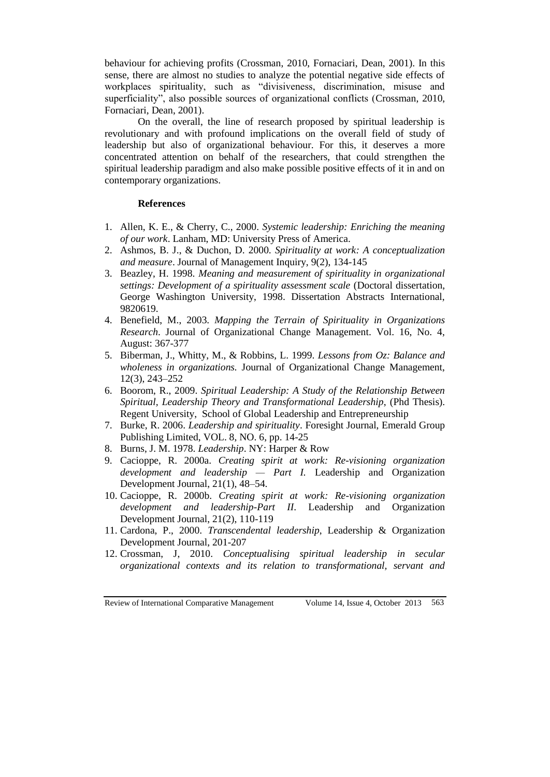behaviour for achieving profits (Crossman, 2010, Fornaciari, Dean, 2001). In this sense, there are almost no studies to analyze the potential negative side effects of workplaces spirituality, such as "divisiveness, discrimination, misuse and superficiality", also possible sources of organizational conflicts (Crossman, 2010, Fornaciari, Dean, 2001).

On the overall, the line of research proposed by spiritual leadership is revolutionary and with profound implications on the overall field of study of leadership but also of organizational behaviour. For this, it deserves a more concentrated attention on behalf of the researchers, that could strengthen the spiritual leadership paradigm and also make possible positive effects of it in and on contemporary organizations.

#### **References**

- 1. Allen, K. E., & Cherry, C., 2000. *Systemic leadership: Enriching the meaning of our work*. Lanham, MD: University Press of America.
- 2. Ashmos, B. J., & Duchon, D. 2000. *Spirituality at work: A conceptualization and measure*. Journal of Management Inquiry, 9(2), 134-145
- 3. Beazley, H. 1998. *Meaning and measurement of spirituality in organizational settings: Development of a spirituality assessment scale* (Doctoral dissertation, George Washington University, 1998. Dissertation Abstracts International, 9820619.
- 4. Benefield, M., 2003. *Mapping the Terrain of Spirituality in Organizations Research*. Journal of Organizational Change Management. Vol. 16, No. 4, August: 367-377
- 5. Biberman, J., Whitty, M., & Robbins, L. 1999. *Lessons from Oz: Balance and wholeness in organizations.* Journal of Organizational Change Management, 12(3), 243–252
- 6. Boorom, R., 2009. *Spiritual Leadership: A Study of the Relationship Between Spiritual, Leadership Theory and Transformational Leadership*, (Phd Thesis). Regent University, School of Global Leadership and Entrepreneurship
- 7. Burke, R. 2006. *Leadership and spirituality*. Foresight Journal, Emerald Group Publishing Limited, VOL. 8, NO. 6, pp. 14-25
- 8. Burns, J. M. 1978. *Leadership*. NY: Harper & Row
- 9. Cacioppe, R. 2000a. *Creating spirit at work: Re-visioning organization development and leadership — Part I.* Leadership and Organization Development Journal, 21(1), 48–54.
- 10. Cacioppe, R. 2000b. *Creating spirit at work: Re-visioning organization development and leadership-Part II*. Leadership and Organization Development Journal, 21(2), 110-119
- 11. Cardona, P., 2000. *Transcendental leadership*, Leadership & Organization Development Journal, 201-207
- 12. Crossman, J, 2010. *Conceptualising spiritual leadership in secular organizational contexts and its relation to transformational, servant and*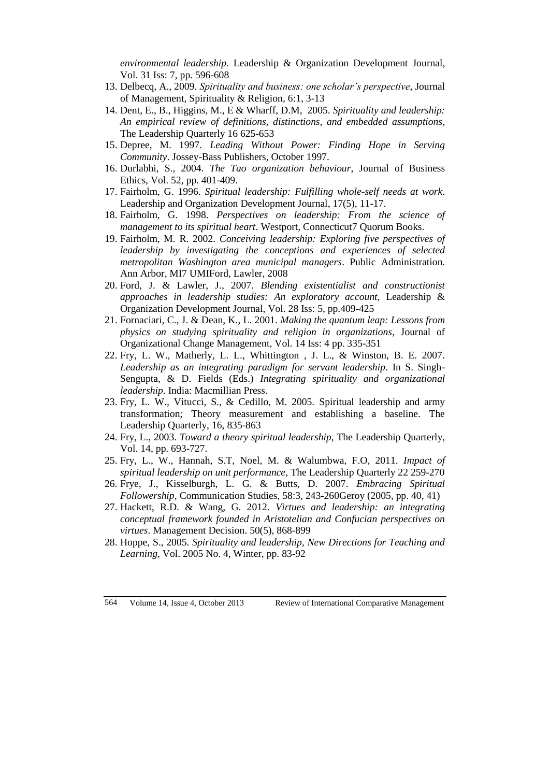*environmental leadership.* Leadership & Organization Development Journal, Vol. 31 Iss: 7, pp. 596-608

- 13. Delbecq, A., 2009. *Spirituality and business: one scholar's perspective*, Journal of Management, Spirituality & Religion, 6:1, 3-13
- 14. Dent, E., B., Higgins, M., E & Wharff, D.M, 2005. *Spirituality and leadership: An empirical review of definitions, distinctions, and embedded assumptions*, The Leadership Quarterly 16 625-653
- 15. Depree, M. 1997. *Leading Without Power: Finding Hope in Serving Community*. Jossey-Bass Publishers, October 1997.
- 16. Durlabhi, S., 2004. *The Tao organization behaviour*, Journal of Business Ethics, Vol. 52, pp. 401-409.
- 17. Fairholm, G. 1996. *Spiritual leadership: Fulfilling whole-self needs at work*. Leadership and Organization Development Journal, 17(5), 11-17.
- 18. Fairholm, G. 1998. *Perspectives on leadership: From the science of management to its spiritual heart*. Westport, Connecticut7 Quorum Books.
- 19. Fairholm, M. R. 2002. *Conceiving leadership: Exploring five perspectives of leadership by investigating the conceptions and experiences of selected metropolitan Washington area municipal managers*. Public Administration. Ann Arbor, MI7 UMIFord, Lawler, 2008
- 20. Ford, J. & Lawler, J., 2007. *Blending existentialist and constructionist approaches in leadership studies: An exploratory account*, Leadership & Organization Development Journal, Vol. 28 Iss: 5, pp.409-425
- 21. Fornaciari, C., J. & Dean, K., L. 2001. *Making the quantum leap: Lessons from physics on studying spirituality and religion in organizations*, Journal of Organizational Change Management, Vol. 14 Iss: 4 pp. 335-351
- 22. Fry, L. W., Matherly, L. L., Whittington , J. L., & Winston, B. E. 2007. *Leadership as an integrating paradigm for servant leadership*. In S. Singh-Sengupta, & D. Fields (Eds.) *Integrating spirituality and organizational leadership*. India: Macmillian Press.
- 23. Fry, L. W., Vitucci, S., & Cedillo, M. 2005. Spiritual leadership and army transformation; Theory measurement and establishing a baseline. The Leadership Quarterly, 16, 835-863
- 24. Fry, L., 2003. *Toward a theory spiritual leadership*, The Leadership Quarterly, Vol. 14, pp. 693-727.
- 25. Fry, L., W., Hannah, S.T, Noel, M. & Walumbwa, F.O, 2011. *Impact of spiritual leadership on unit performance*, The Leadership Quarterly 22 259-270
- 26. Frye, J., Kisselburgh, L. G. & Butts, D. 2007. *Embracing Spiritual Followership*, Communication Studies, 58:3, 243-260Geroy (2005, pp. 40, 41)
- 27. Hackett, R.D. & Wang, G. 2012. *Virtues and leadership: an integrating conceptual framework founded in Aristotelian and Confucian perspectives on virtues*. Management Decision. 50(5), 868-899
- 28. Hoppe, S., 2005. *Spirituality and leadership, New Directions for Teaching and Learning*, Vol. 2005 No. 4, Winter, pp. 83-92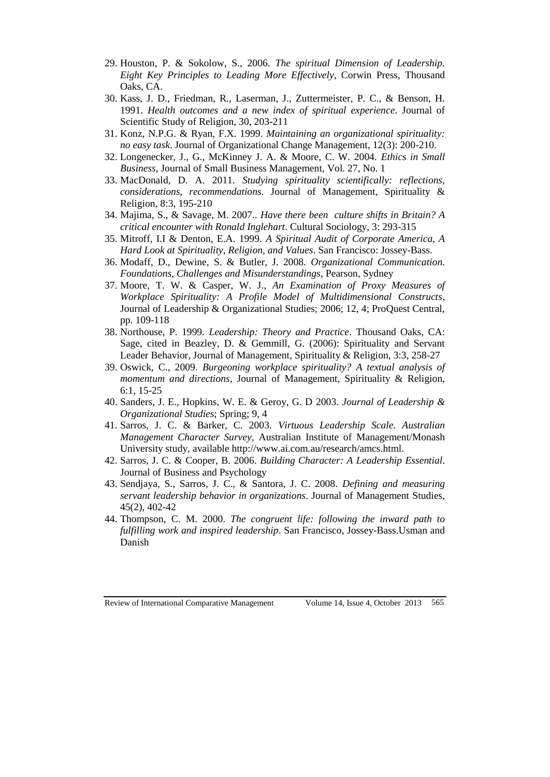- 29. Houston, P. & Sokolow, S., 2006. *The spiritual Dimension of Leadership. Eight Key Principles to Leading More Effectively*, Corwin Press, Thousand Oaks, CA.
- 30. Kass, J. D., Friedman, R., Laserman, J., Zuttermeister, P. C., & Benson, H. 1991. *Health outcomes and a new index of spiritual experience*. Journal of Scientific Study of Religion, 30, 203-211
- 31. Konz, N.P.G. & Ryan, F.X. 1999. *Maintaining an organizational spirituality: no easy task*. Journal of Organizational Change Management, 12(3): 200-210.
- 32. Longenecker, J., G., McKinney J. A. & Moore, C. W. 2004. *Ethics in Small Business*, Journal of Small Business Management, Vol. 27, No. 1
- 33. MacDonald, D. A. 2011. *Studying spirituality scientifically: reflections, considerations, recommendations.* Journal of Management, Spirituality & Religion, 8:3, 195-210
- 34. Majima, S., & Savage, M. 2007.. *Have there been culture shifts in Britain? A critical encounter with Ronald Inglehart*. Cultural Sociology, 3: 293-315
- 35. Mitroff, I.I & Denton, E.A. 1999. *A Spiritual Audit of Corporate America, A Hard Look at Spirituality, Religion, and Values*. San Francisco: Jossey-Bass.
- 36. Modaff, D., Dewine, S. & Butler, J. 2008. *Organizational Communication. Foundations, Challenges and Misunderstandings*, Pearson, Sydney
- 37. Moore, T. W. & Casper, W. J., *An Examination of Proxy Measures of Workplace Spirituality: A Profile Model of Multidimensional Constructs*, Journal of Leadership & Organizational Studies; 2006; 12, 4; ProQuest Central, pp. 109-118
- 38. Northouse, P. 1999. *Leadership: Theory and Practice*. Thousand Oaks, CA: Sage, cited in Beazley, D. & Gemmill, G. (2006): Spirituality and Servant Leader Behavior, Journal of Management, Spirituality & Religion, 3:3, 258-27
- 39. Oswick, C., 2009. *Burgeoning workplace spirituality? A textual analysis of momentum and directions*, Journal of Management, Spirituality & Religion, 6:1, 15-25
- 40. Sanders, J. E., Hopkins, W. E. & Geroy, G. D 2003. *Journal of Leadership & Organizational Studies*; Spring; 9, 4
- 41. Sarros, J. C. & Barker, C. 2003. *Virtuous Leadership Scale. Australian Management Character Survey,* Australian Institute of Management/Monash University study, available http://www.ai.com.au/research/amcs.html.
- 42. Sarros, J. C. & Cooper, B. 2006. *Building Character: A Leadership Essential*. Journal of Business and Psychology
- 43. Sendjaya, S., Sarros, J. C., & Santora, J. C. 2008. *Defining and measuring servant leadership behavior in organizations*. Journal of Management Studies, 45(2), 402-42
- 44. Thompson, C. M. 2000. *The congruent life: following the inward path to fulfilling work and inspired leadership*. San Francisco, Jossey-Bass.Usman and Danish